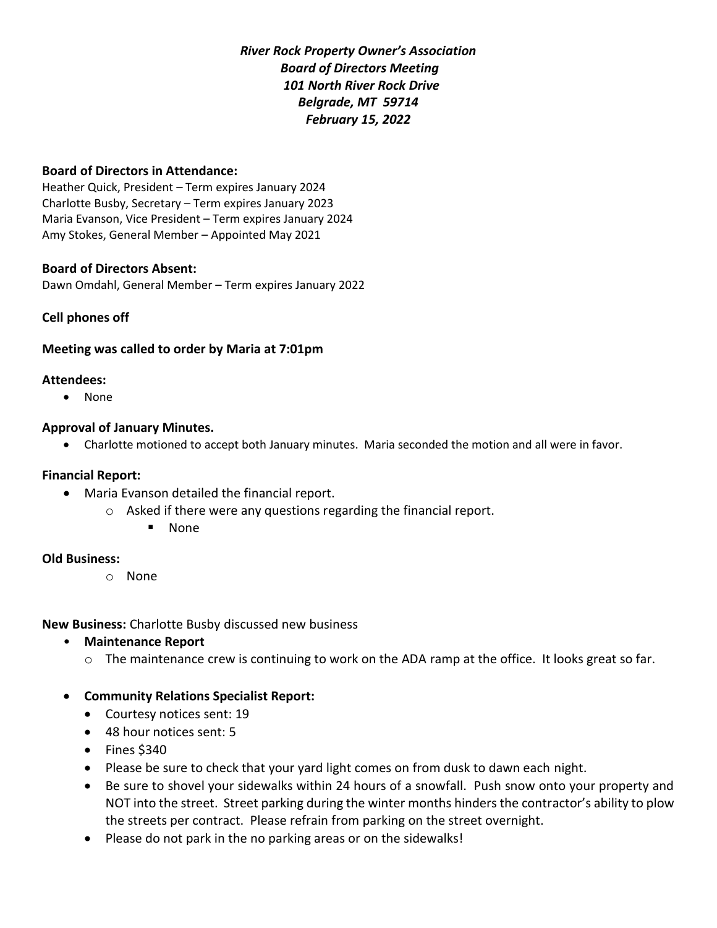*River Rock Property Owner's Association Board of Directors Meeting 101 North River Rock Drive Belgrade, MT 59714 February 15, 2022*

## **Board of Directors in Attendance:**

Heather Quick, President – Term expires January 2024 Charlotte Busby, Secretary – Term expires January 2023 Maria Evanson, Vice President – Term expires January 2024 Amy Stokes, General Member – Appointed May 2021

## **Board of Directors Absent:**

Dawn Omdahl, General Member – Term expires January 2022

## **Cell phones off**

## **Meeting was called to order by Maria at 7:01pm**

#### **Attendees:**

• None

#### **Approval of January Minutes.**

• Charlotte motioned to accept both January minutes. Maria seconded the motion and all were in favor.

## **Financial Report:**

- Maria Evanson detailed the financial report.
	- o Asked if there were any questions regarding the financial report.
		- None

## **Old Business:**

o None

**New Business:** Charlotte Busby discussed new business

- **Maintenance Report**
	- $\circ$  The maintenance crew is continuing to work on the ADA ramp at the office. It looks great so far.
- **Community Relations Specialist Report:** 
	- Courtesy notices sent: 19
	- 48 hour notices sent: 5
	- Fines \$340
	- Please be sure to check that your yard light comes on from dusk to dawn each night.
	- Be sure to shovel your sidewalks within 24 hours of a snowfall. Push snow onto your property and NOT into the street. Street parking during the winter months hinders the contractor's ability to plow the streets per contract. Please refrain from parking on the street overnight.
	- Please do not park in the no parking areas or on the sidewalks!